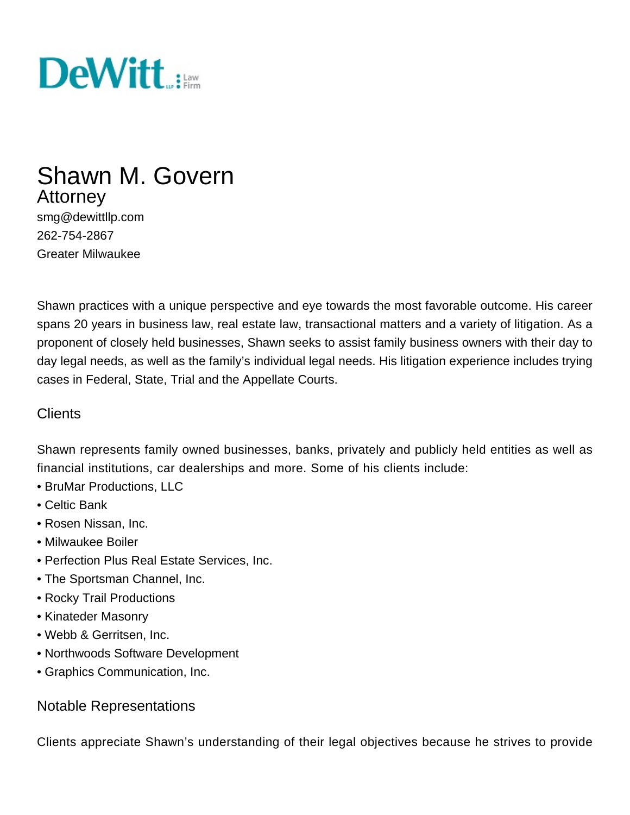

# Shawn M. Govern **Attorney**

smg@dewittllp.com 262-754-2867 Greater Milwaukee

Shawn practices with a unique perspective and eye towards the most favorable outcome. His career spans 20 years in business law, real estate law, transactional matters and a variety of litigation. As a proponent of closely held businesses, Shawn seeks to assist family business owners with their day to day legal needs, as well as the family's individual legal needs. His litigation experience includes trying cases in Federal, State, Trial and the Appellate Courts.

#### **Clients**

Shawn represents family owned businesses, banks, privately and publicly held entities as well as financial institutions, car dealerships and more. Some of his clients include:

- BruMar Productions, LLC
- Celtic Bank
- Rosen Nissan, Inc.
- Milwaukee Boiler
- Perfection Plus Real Estate Services, Inc.
- The Sportsman Channel, Inc.
- Rocky Trail Productions
- Kinateder Masonry
- Webb & Gerritsen, Inc.
- Northwoods Software Development
- Graphics Communication, Inc.

#### Notable Representations

Clients appreciate Shawn's understanding of their legal objectives because he strives to provide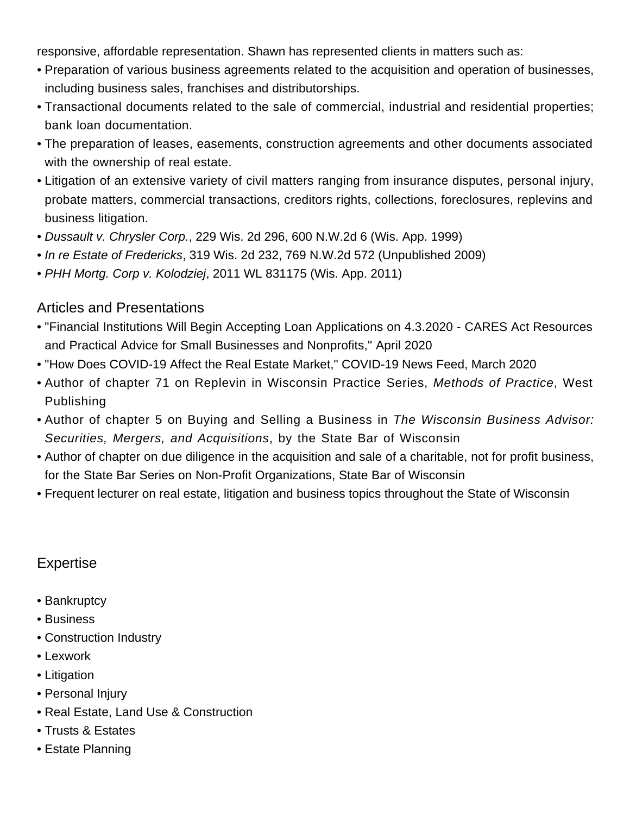responsive, affordable representation. Shawn has represented clients in matters such as:

- Preparation of various business agreements related to the acquisition and operation of businesses, including business sales, franchises and distributorships.
- Transactional documents related to the sale of commercial, industrial and residential properties; bank loan documentation.
- The preparation of leases, easements, construction agreements and other documents associated with the ownership of real estate.
- Litigation of an extensive variety of civil matters ranging from insurance disputes, personal injury, probate matters, commercial transactions, creditors rights, collections, foreclosures, replevins and business litigation.
- Dussault v. Chrysler Corp., 229 Wis. 2d 296, 600 N.W.2d 6 (Wis. App. 1999)
- In re Estate of Fredericks, 319 Wis. 2d 232, 769 N.W.2d 572 (Unpublished 2009)
- PHH Mortg. Corp v. Kolodziej, 2011 WL 831175 (Wis. App. 2011)

#### Articles and Presentations

- "[Financial Institutions Will Begin Accepting Loan Applications on 4.3.2020 CARES Act Resources](http://dewittllp.com/news-education/posts/2020/04/01/financial-institutions-will-begin-accepting-loan-applications-on-4.3.2020-cares-act-resources-practical-advice-for-small-businesses-and-nonprofits) [and Practical Advice for Small Businesses and Nonprofits](http://dewittllp.com/news-education/posts/2020/04/01/financial-institutions-will-begin-accepting-loan-applications-on-4.3.2020-cares-act-resources-practical-advice-for-small-businesses-and-nonprofits)," April 2020
- "[How Does COVID-19 Affect the Real Estate Market](https://dewi.tt/2QDBXbv)," COVID-19 News Feed, March 2020
- Author of chapter 71 on Replevin in Wisconsin Practice Series, Methods of Practice, West Publishing
- Author of chapter 5 on Buying and Selling a Business in The Wisconsin Business Advisor: Securities, Mergers, and Acquisitions, by the State Bar of Wisconsin
- Author of chapter on due diligence in the acquisition and sale of a charitable, not for profit business, for the State Bar Series on Non-Profit Organizations, State Bar of Wisconsin
- Frequent lecturer on real estate, litigation and business topics throughout the State of Wisconsin

#### Expertise

- [Bankruptcy](/expertise/bankruptcy)
- [Business](/expertise/business)
- [Construction Industry](/expertise/construction-industry)
- [Lexwork](/expertise/lexwork-international-referral-network)
- [Litigation](/expertise/litigation)
- [Personal Injury](/expertise/personal-injury)
- [Real Estate, Land Use & Construction](/expertise/real-estate-land-use-construction)
- [Trusts & Estates](/expertise/trusts-estates)
- Estate Planning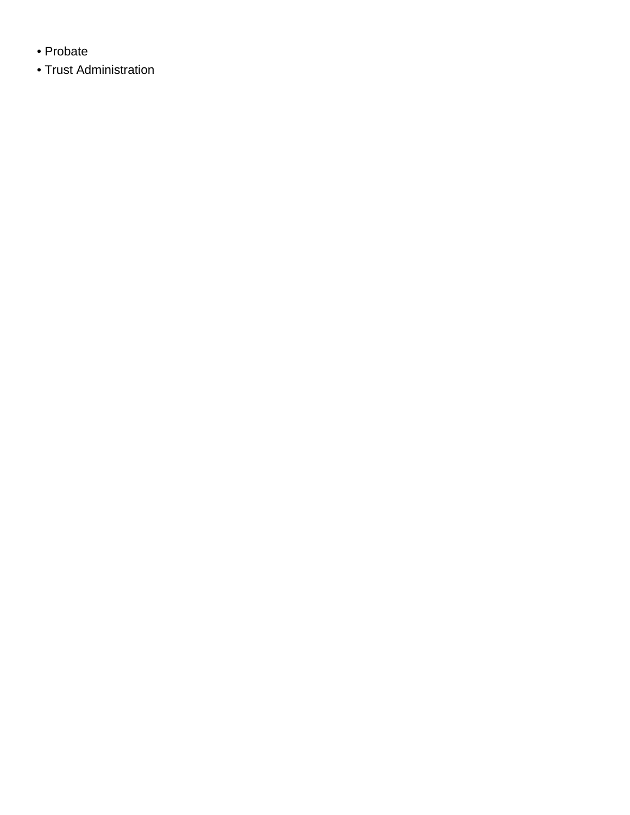- Probate
- Trust Administration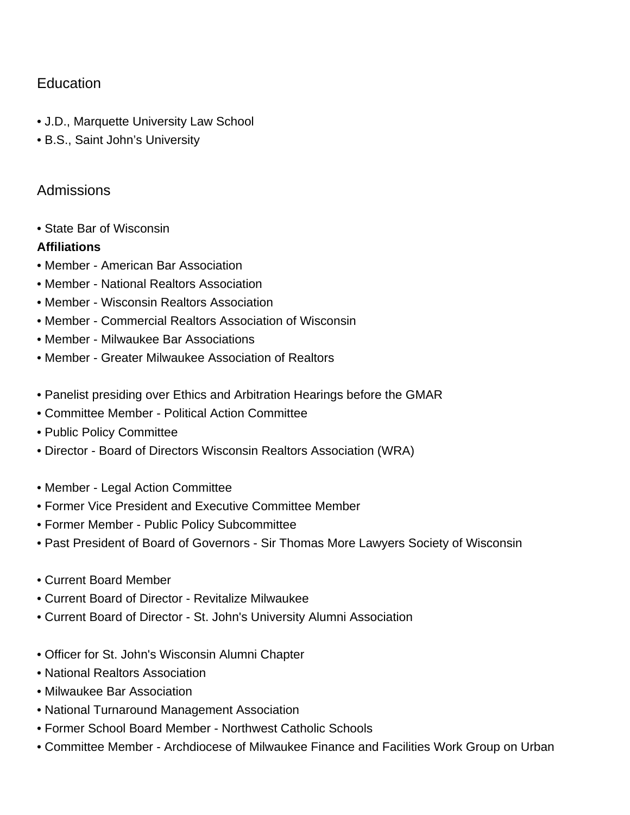## **Education**

- J.D., Marquette University Law School
- B.S., Saint John's University

### Admissions

• State Bar of Wisconsin

#### **Affiliations**

- Member American Bar Association
- Member National Realtors Association
- Member Wisconsin Realtors Association
- Member Commercial Realtors Association of Wisconsin
- Member Milwaukee Bar Associations
- Member Greater Milwaukee Association of Realtors
- Panelist presiding over Ethics and Arbitration Hearings before the GMAR
- Committee Member Political Action Committee
- Public Policy Committee
- Director Board of Directors Wisconsin Realtors Association (WRA)
- Member Legal Action Committee
- Former Vice President and Executive Committee Member
- Former Member Public Policy Subcommittee
- Past President of Board of Governors Sir Thomas More Lawyers Society of Wisconsin
- Current Board Member
- Current Board of Director Revitalize Milwaukee
- Current Board of Director St. John's University Alumni Association
- Officer for St. John's Wisconsin Alumni Chapter
- National Realtors Association
- Milwaukee Bar Association
- National Turnaround Management Association
- Former School Board Member Northwest Catholic Schools
- Committee Member Archdiocese of Milwaukee Finance and Facilities Work Group on Urban